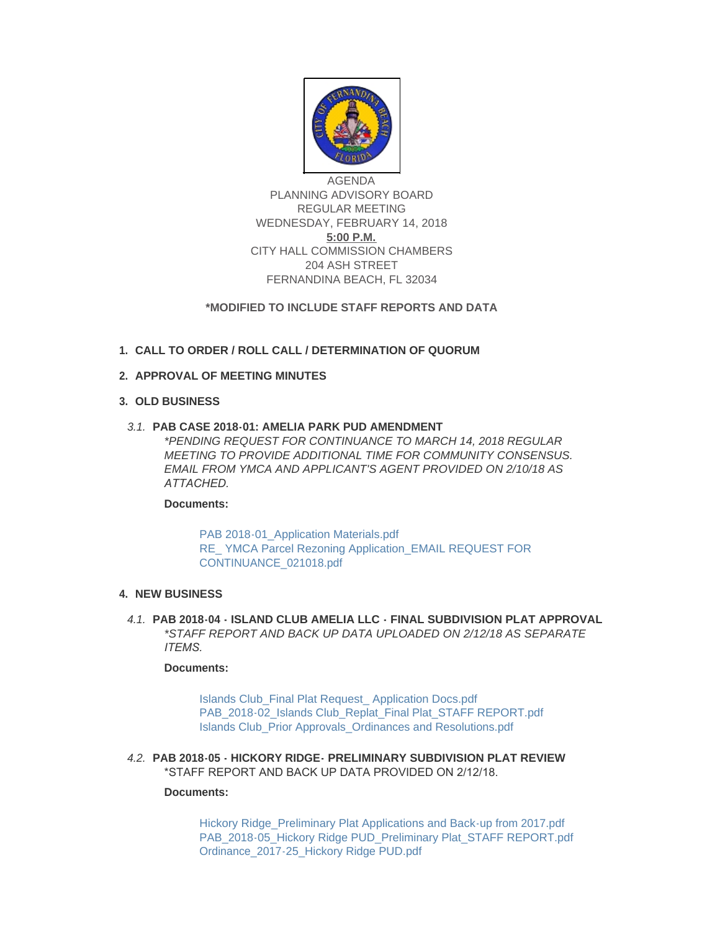

AGENDA PLANNING ADVISORY BOARD REGULAR MEETING WEDNESDAY, FEBRUARY 14, 2018 **5:00 P.M.** CITY HALL COMMISSION CHAMBERS 204 ASH STREET FERNANDINA BEACH, FL 32034

## **\*MODIFIED TO INCLUDE STAFF REPORTS AND DATA**

# **CALL TO ORDER / ROLL CALL / DETERMINATION OF QUORUM 1.**

## **APPROVAL OF MEETING MINUTES 2.**

# **OLD BUSINESS 3.**

## **PAB CASE 2018-01: AMELIA PARK PUD AMENDMENT** *3.1.*

*\*PENDING REQUEST FOR CONTINUANCE TO MARCH 14, 2018 REGULAR MEETING TO PROVIDE ADDITIONAL TIME FOR COMMUNITY CONSENSUS. EMAIL FROM YMCA AND APPLICANT'S AGENT PROVIDED ON 2/10/18 AS ATTACHED.* 

#### **Documents:**

PAB 2018-01 Application Materials.pdf RE YMCA Parcel Rezoning Application EMAIL REQUEST FOR CONTINUANCE\_021018.pdf

## **NEW BUSINESS 4.**

**PAB 2018-04 - ISLAND CLUB AMELIA LLC - FINAL SUBDIVISION PLAT APPROVAL** *4.1. \*STAFF REPORT AND BACK UP DATA UPLOADED ON 2/12/18 AS SEPARATE ITEMS.* 

#### **Documents:**

[Islands Club\\_Final Plat Request\\_ Application Docs.pdf](http://fl-fernandinabeach3.civicplus.com/AgendaCenter/ViewFile/Item/8663?fileID=5540) [PAB\\_2018-02\\_Islands Club\\_Replat\\_Final Plat\\_STAFF REPORT.pdf](http://fl-fernandinabeach3.civicplus.com/AgendaCenter/ViewFile/Item/8663?fileID=5542) [Islands Club\\_Prior Approvals\\_Ordinances and Resolutions.pdf](http://fl-fernandinabeach3.civicplus.com/AgendaCenter/ViewFile/Item/8663?fileID=5543)

**PAB 2018-05 - HICKORY RIDGE- PRELIMINARY SUBDIVISION PLAT REVIEW** *4.2.* \*STAFF REPORT AND BACK UP DATA PROVIDED ON 2/12/18.

#### **Documents:**

Hickory Ridge Preliminary Plat Applications and Back-up from 2017.pdf [PAB\\_2018-05\\_Hickory Ridge PUD\\_Preliminary Plat\\_STAFF REPORT.pdf](http://fl-fernandinabeach3.civicplus.com/AgendaCenter/ViewFile/Item/8664?fileID=5545) [Ordinance\\_2017-25\\_Hickory Ridge PUD.pdf](http://fl-fernandinabeach3.civicplus.com/AgendaCenter/ViewFile/Item/8664?fileID=5546)